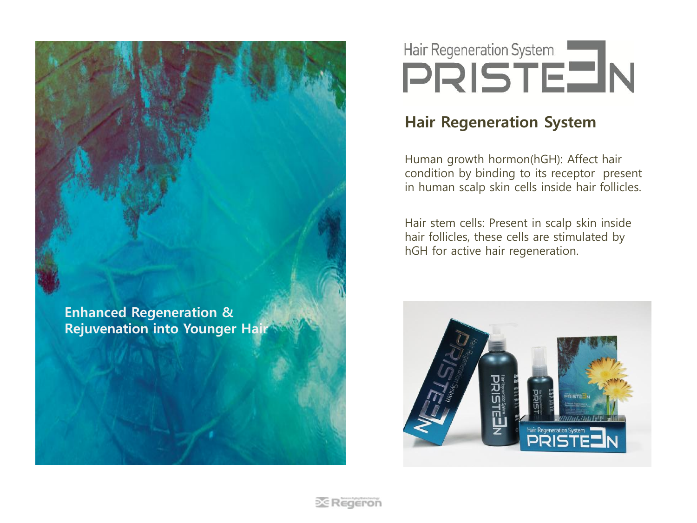Enhanced Regeneration & Rejuvenation into Younger Hair

# Hair Regeneration System<br> **PRISTE IN**

## Hair Regeneration System

Human growth hormon(hGH): Affect hair condition by binding to its receptor present in human scalp skin cells inside hair follicles.

Hair stem cells: Present in scalp skin inside hair follicles, these cells are stimulated by hGH for active hair regeneration.

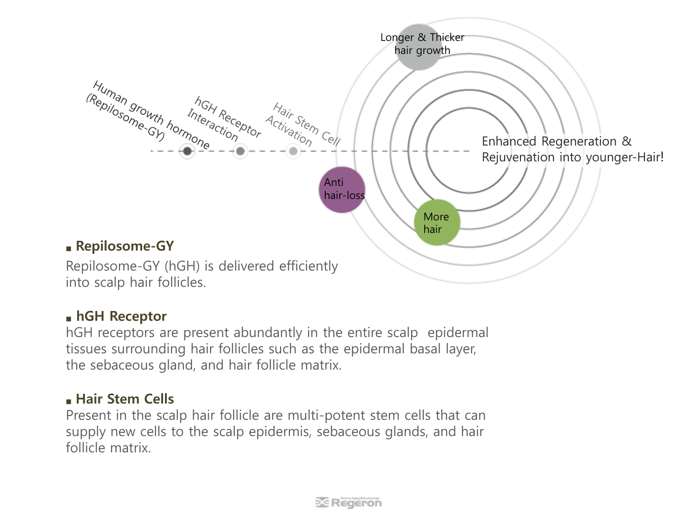

### ■ hGH Receptor

hGH receptors are present abundantly in the entire scalp epidermal tissues surrounding hair follicles such as the epidermal basal layer, the sebaceous gland, and hair follicle matrix.

### ■ Hair Stem Cells

Present in the scalp hair follicle are multi-potent stem cells that can supply new cells to the scalp epidermis, sebaceous glands, and hair follicle matrix.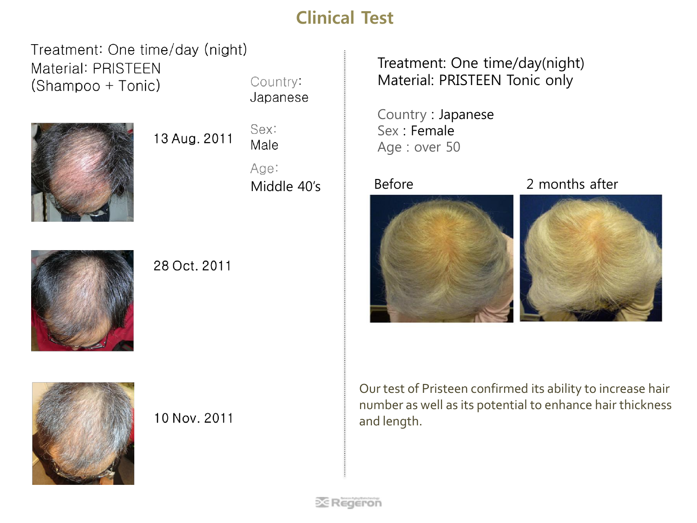# Clinical Test

Treatment: One time/day (night) **Material: PRISTEEN** Country: (Shampoo + Tonic) Japanese



13 Aug. 2011

Sex: Male

Age:



28 Oct. 2011

Treatment: One time/day(night) Material: PRISTEEN Tonic only

Country : Japanese Sex : Female Age : over 50



Middle 40's **Before** 2 months after





10 Nov. 2011

Our test of Pristeen confirmed its ability to increase hair number as well as its potential to enhance hair thickness and length.